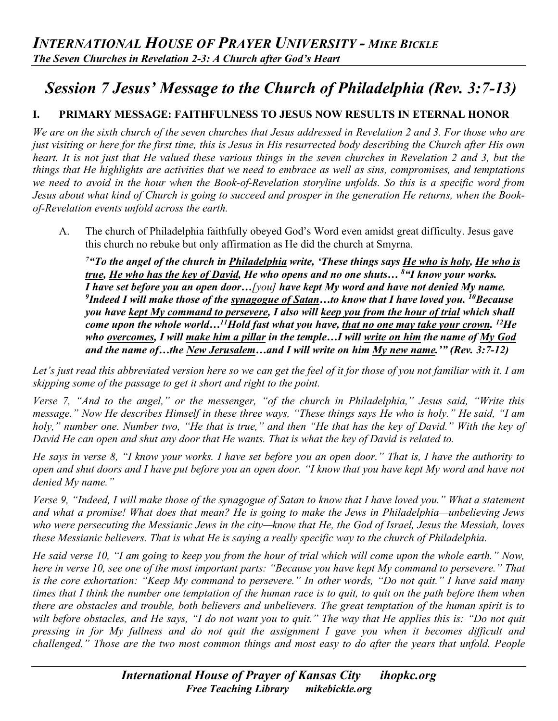# *Session 7 Jesus' Message to the Church of Philadelphia (Rev. 3:7-13)*

# **I. PRIMARY MESSAGE: FAITHFULNESS TO JESUS NOW RESULTS IN ETERNAL HONOR**

*We are on the sixth church of the seven churches that Jesus addressed in Revelation 2 and 3. For those who are just visiting or here for the first time, this is Jesus in His resurrected body describing the Church after His own heart. It is not just that He valued these various things in the seven churches in Revelation 2 and 3, but the things that He highlights are activities that we need to embrace as well as sins, compromises, and temptations we need to avoid in the hour when the Book-of-Revelation storyline unfolds. So this is a specific word from Jesus about what kind of Church is going to succeed and prosper in the generation He returns, when the Bookof-Revelation events unfold across the earth.* 

A. The church of Philadelphia faithfully obeyed God's Word even amidst great difficulty. Jesus gave this church no rebuke but only affirmation as He did the church at Smyrna.

*7"To the angel of the church in Philadelphia write, 'These things says He who is holy, He who is true, He who has the key of David, He who opens and no one shuts… 8 "I know your works. I have set before you an open door…[you] have kept My word and have not denied My name. 9 Indeed I will make those of the synagogue of Satan…to know that I have loved you. 10Because you have kept My command to persevere, I also will keep you from the hour of trial which shall come upon the whole world…11Hold fast what you have, that no one may take your crown. 12He who overcomes, I will make him a pillar in the temple…I will write on him the name of My God and the name of…the New Jerusalem…and I will write on him My new name.'" (Rev. 3:7-12)* 

*Let's just read this abbreviated version here so we can get the feel of it for those of you not familiar with it. I am skipping some of the passage to get it short and right to the point.* 

*Verse 7, "And to the angel," or the messenger, "of the church in Philadelphia," Jesus said, "Write this message." Now He describes Himself in these three ways, "These things says He who is holy." He said, "I am holy," number one. Number two, "He that is true," and then "He that has the key of David." With the key of David He can open and shut any door that He wants. That is what the key of David is related to.*

*He says in verse 8, "I know your works. I have set before you an open door." That is, I have the authority to open and shut doors and I have put before you an open door. "I know that you have kept My word and have not denied My name."* 

*Verse 9, "Indeed, I will make those of the synagogue of Satan to know that I have loved you." What a statement and what a promise! What does that mean? He is going to make the Jews in Philadelphia—unbelieving Jews who were persecuting the Messianic Jews in the city—know that He, the God of Israel, Jesus the Messiah, loves these Messianic believers. That is what He is saying a really specific way to the church of Philadelphia.*

*He said verse 10, "I am going to keep you from the hour of trial which will come upon the whole earth." Now, here in verse 10, see one of the most important parts: "Because you have kept My command to persevere." That is the core exhortation: "Keep My command to persevere." In other words, "Do not quit." I have said many times that I think the number one temptation of the human race is to quit, to quit on the path before them when there are obstacles and trouble, both believers and unbelievers. The great temptation of the human spirit is to wilt before obstacles, and He says, "I do not want you to quit." The way that He applies this is: "Do not quit pressing in for My fullness and do not quit the assignment I gave you when it becomes difficult and challenged." Those are the two most common things and most easy to do after the years that unfold. People*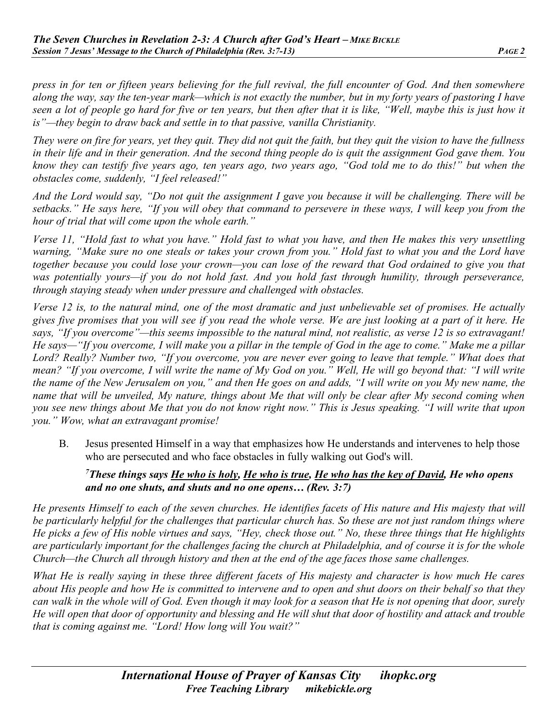*press in for ten or fifteen years believing for the full revival, the full encounter of God. And then somewhere along the way, say the ten-year mark—which is not exactly the number, but in my forty years of pastoring I have seen a lot of people go hard for five or ten years, but then after that it is like, "Well, maybe this is just how it is"—they begin to draw back and settle in to that passive, vanilla Christianity.* 

*They were on fire for years, yet they quit. They did not quit the faith, but they quit the vision to have the fullness in their life and in their generation. And the second thing people do is quit the assignment God gave them. You know they can testify five years ago, ten years ago, two years ago, "God told me to do this!" but when the obstacles come, suddenly, "I feel released!"* 

*And the Lord would say, "Do not quit the assignment I gave you because it will be challenging. There will be setbacks." He says here, "If you will obey that command to persevere in these ways, I will keep you from the hour of trial that will come upon the whole earth."*

*Verse 11, "Hold fast to what you have." Hold fast to what you have, and then He makes this very unsettling warning, "Make sure no one steals or takes your crown from you." Hold fast to what you and the Lord have together because you could lose your crown—you can lose of the reward that God ordained to give you that was potentially yours—if you do not hold fast. And you hold fast through humility, through perseverance, through staying steady when under pressure and challenged with obstacles.* 

*Verse 12 is, to the natural mind, one of the most dramatic and just unbelievable set of promises. He actually gives five promises that you will see if you read the whole verse. We are just looking at a part of it here. He says, "If you overcome"—this seems impossible to the natural mind, not realistic, as verse 12 is so extravagant! He says—"If you overcome, I will make you a pillar in the temple of God in the age to come." Make me a pillar Lord? Really? Number two, "If you overcome, you are never ever going to leave that temple." What does that mean? "If you overcome, I will write the name of My God on you." Well, He will go beyond that: "I will write the name of the New Jerusalem on you," and then He goes on and adds, "I will write on you My new name, the name that will be unveiled, My nature, things about Me that will only be clear after My second coming when you see new things about Me that you do not know right now." This is Jesus speaking. "I will write that upon you." Wow, what an extravagant promise!*

B. Jesus presented Himself in a way that emphasizes how He understands and intervenes to help those who are persecuted and who face obstacles in fully walking out God's will.

#### *7 These things says He who is holy, He who is true, He who has the key of David, He who opens and no one shuts, and shuts and no one opens… (Rev. 3:7)*

*He presents Himself to each of the seven churches. He identifies facets of His nature and His majesty that will be particularly helpful for the challenges that particular church has. So these are not just random things where He picks a few of His noble virtues and says, "Hey, check those out." No, these three things that He highlights are particularly important for the challenges facing the church at Philadelphia, and of course it is for the whole Church—the Church all through history and then at the end of the age faces those same challenges.*

*What He is really saying in these three different facets of His majesty and character is how much He cares about His people and how He is committed to intervene and to open and shut doors on their behalf so that they can walk in the whole will of God. Even though it may look for a season that He is not opening that door, surely He will open that door of opportunity and blessing and He will shut that door of hostility and attack and trouble that is coming against me. "Lord! How long will You wait?"*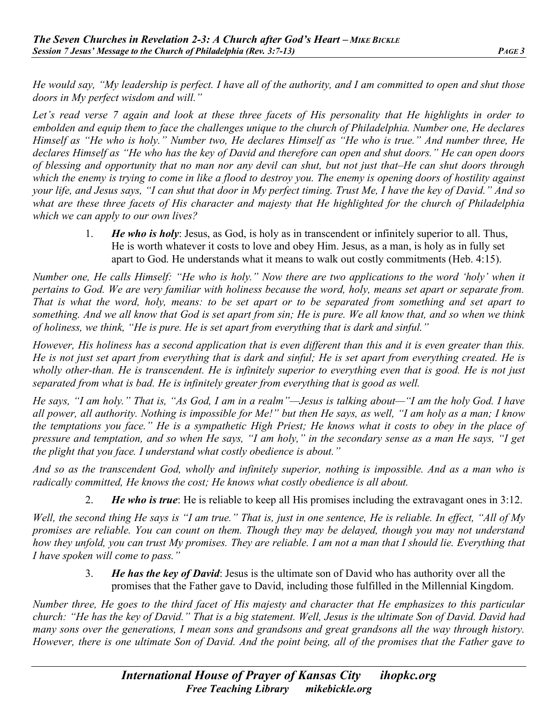*He would say, "My leadership is perfect. I have all of the authority, and I am committed to open and shut those doors in My perfect wisdom and will."*

*Let's read verse 7 again and look at these three facets of His personality that He highlights in order to embolden and equip them to face the challenges unique to the church of Philadelphia. Number one, He declares Himself as "He who is holy." Number two, He declares Himself as "He who is true." And number three, He declares Himself as "He who has the key of David and therefore can open and shut doors." He can open doors of blessing and opportunity that no man nor any devil can shut, but not just that–He can shut doors through which the enemy is trying to come in like a flood to destroy you. The enemy is opening doors of hostility against your life, and Jesus says, "I can shut that door in My perfect timing. Trust Me, I have the key of David." And so what are these three facets of His character and majesty that He highlighted for the church of Philadelphia which we can apply to our own lives?*

> 1. *He who is holy*: Jesus, as God, is holy as in transcendent or infinitely superior to all. Thus, He is worth whatever it costs to love and obey Him. Jesus, as a man, is holy as in fully set apart to God. He understands what it means to walk out costly commitments (Heb. 4:15).

*Number one, He calls Himself: "He who is holy." Now there are two applications to the word 'holy' when it pertains to God. We are very familiar with holiness because the word, holy, means set apart or separate from. That is what the word, holy, means: to be set apart or to be separated from something and set apart to something. And we all know that God is set apart from sin; He is pure. We all know that, and so when we think of holiness, we think, "He is pure. He is set apart from everything that is dark and sinful."* 

*However, His holiness has a second application that is even different than this and it is even greater than this. He is not just set apart from everything that is dark and sinful; He is set apart from everything created. He is*  wholly other-than. He is transcendent. He is infinitely superior to everything even that is good. He is not just *separated from what is bad. He is infinitely greater from everything that is good as well.* 

*He says, "I am holy." That is, "As God, I am in a realm"—Jesus is talking about—"I am the holy God. I have all power, all authority. Nothing is impossible for Me!" but then He says, as well, "I am holy as a man; I know the temptations you face." He is a sympathetic High Priest; He knows what it costs to obey in the place of pressure and temptation, and so when He says, "I am holy," in the secondary sense as a man He says, "I get the plight that you face. I understand what costly obedience is about."* 

*And so as the transcendent God, wholly and infinitely superior, nothing is impossible. And as a man who is radically committed, He knows the cost; He knows what costly obedience is all about.*

2. *He who is true*: He is reliable to keep all His promises including the extravagant ones in 3:12.

*Well, the second thing He says is "I am true." That is, just in one sentence, He is reliable. In effect, "All of My promises are reliable. You can count on them. Though they may be delayed, though you may not understand how they unfold, you can trust My promises. They are reliable. I am not a man that I should lie. Everything that I have spoken will come to pass."* 

> 3. *He has the key of David*: Jesus is the ultimate son of David who has authority over all the promises that the Father gave to David, including those fulfilled in the Millennial Kingdom.

*Number three, He goes to the third facet of His majesty and character that He emphasizes to this particular church: "He has the key of David." That is a big statement. Well, Jesus is the ultimate Son of David. David had many sons over the generations, I mean sons and grandsons and great grandsons all the way through history. However, there is one ultimate Son of David. And the point being, all of the promises that the Father gave to*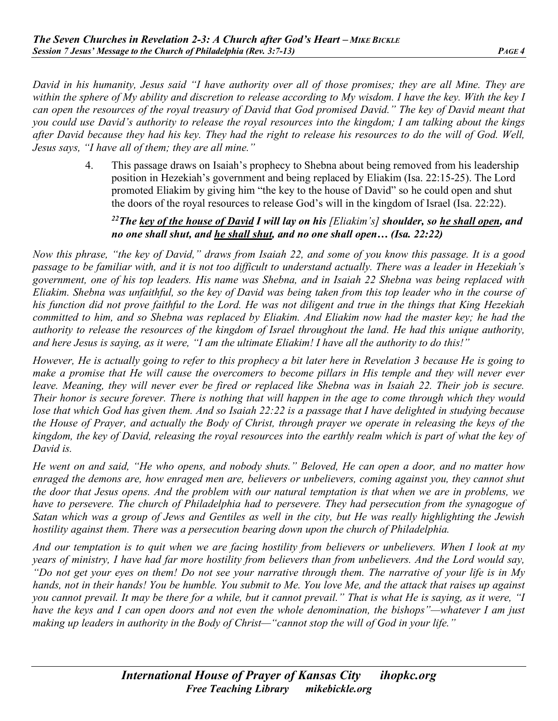*David in his humanity, Jesus said "I have authority over all of those promises; they are all Mine. They are within the sphere of My ability and discretion to release according to My wisdom. I have the key. With the key I can open the resources of the royal treasury of David that God promised David." The key of David meant that you could use David's authority to release the royal resources into the kingdom; I am talking about the kings after David because they had his key. They had the right to release his resources to do the will of God. Well, Jesus says, "I have all of them; they are all mine."* 

> 4. This passage draws on Isaiah's prophecy to Shebna about being removed from his leadership position in Hezekiah's government and being replaced by Eliakim (Isa. 22:15-25). The Lord promoted Eliakim by giving him "the key to the house of David" so he could open and shut the doors of the royal resources to release God's will in the kingdom of Israel (Isa. 22:22).

#### *22The key of the house of David I will lay on his [Eliakim's] shoulder, so he shall open, and no one shall shut, and he shall shut, and no one shall open… (Isa. 22:22)*

*Now this phrase, "the key of David," draws from Isaiah 22, and some of you know this passage. It is a good passage to be familiar with, and it is not too difficult to understand actually. There was a leader in Hezekiah's government, one of his top leaders. His name was Shebna, and in Isaiah 22 Shebna was being replaced with Eliakim. Shebna was unfaithful, so the key of David was being taken from this top leader who in the course of his function did not prove faithful to the Lord. He was not diligent and true in the things that King Hezekiah committed to him, and so Shebna was replaced by Eliakim. And Eliakim now had the master key; he had the authority to release the resources of the kingdom of Israel throughout the land. He had this unique authority, and here Jesus is saying, as it were, "I am the ultimate Eliakim! I have all the authority to do this!"* 

*However, He is actually going to refer to this prophecy a bit later here in Revelation 3 because He is going to make a promise that He will cause the overcomers to become pillars in His temple and they will never ever leave. Meaning, they will never ever be fired or replaced like Shebna was in Isaiah 22. Their job is secure. Their honor is secure forever. There is nothing that will happen in the age to come through which they would lose that which God has given them. And so Isaiah 22:22 is a passage that I have delighted in studying because the House of Prayer, and actually the Body of Christ, through prayer we operate in releasing the keys of the kingdom, the key of David, releasing the royal resources into the earthly realm which is part of what the key of David is.*

*He went on and said, "He who opens, and nobody shuts." Beloved, He can open a door, and no matter how enraged the demons are, how enraged men are, believers or unbelievers, coming against you, they cannot shut the door that Jesus opens. And the problem with our natural temptation is that when we are in problems, we have to persevere. The church of Philadelphia had to persevere. They had persecution from the synagogue of Satan which was a group of Jews and Gentiles as well in the city, but He was really highlighting the Jewish hostility against them. There was a persecution bearing down upon the church of Philadelphia.*

*And our temptation is to quit when we are facing hostility from believers or unbelievers. When I look at my years of ministry, I have had far more hostility from believers than from unbelievers. And the Lord would say, "Do not get your eyes on them! Do not see your narrative through them. The narrative of your life is in My hands, not in their hands! You be humble. You submit to Me. You love Me, and the attack that raises up against you cannot prevail. It may be there for a while, but it cannot prevail." That is what He is saying, as it were, "I have the keys and I can open doors and not even the whole denomination, the bishops"—whatever I am just making up leaders in authority in the Body of Christ—"cannot stop the will of God in your life."*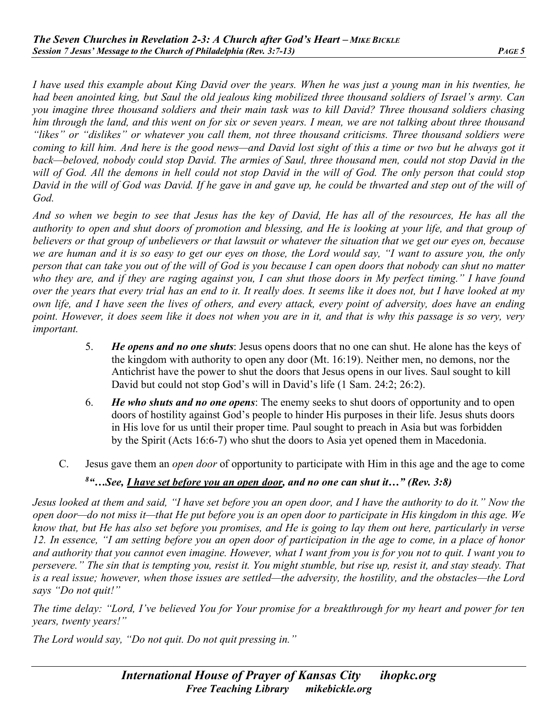*I have used this example about King David over the years. When he was just a young man in his twenties, he had been anointed king, but Saul the old jealous king mobilized three thousand soldiers of Israel's army. Can you imagine three thousand soldiers and their main task was to kill David? Three thousand soldiers chasing him through the land, and this went on for six or seven years. I mean, we are not talking about three thousand "likes" or "dislikes" or whatever you call them, not three thousand criticisms. Three thousand soldiers were coming to kill him. And here is the good news—and David lost sight of this a time or two but he always got it back—beloved, nobody could stop David. The armies of Saul, three thousand men, could not stop David in the*  will of God. All the demons in hell could not stop David in the will of God. The only person that could stop *David in the will of God was David. If he gave in and gave up, he could be thwarted and step out of the will of God.* 

*And so when we begin to see that Jesus has the key of David, He has all of the resources, He has all the authority to open and shut doors of promotion and blessing, and He is looking at your life, and that group of believers or that group of unbelievers or that lawsuit or whatever the situation that we get our eyes on, because we are human and it is so easy to get our eyes on those, the Lord would say, "I want to assure you, the only person that can take you out of the will of God is you because I can open doors that nobody can shut no matter who they are, and if they are raging against you, I can shut those doors in My perfect timing." I have found over the years that every trial has an end to it. It really does. It seems like it does not, but I have looked at my own life, and I have seen the lives of others, and every attack, every point of adversity, does have an ending point. However, it does seem like it does not when you are in it, and that is why this passage is so very, very important.*

- 5. *He opens and no one shuts*: Jesus opens doors that no one can shut. He alone has the keys of the kingdom with authority to open any door (Mt. 16:19). Neither men, no demons, nor the Antichrist have the power to shut the doors that Jesus opens in our lives. Saul sought to kill David but could not stop God's will in David's life (1 Sam. 24:2; 26:2).
- 6. *He who shuts and no one opens*: The enemy seeks to shut doors of opportunity and to open doors of hostility against God's people to hinder His purposes in their life. Jesus shuts doors in His love for us until their proper time. Paul sought to preach in Asia but was forbidden by the Spirit (Acts 16:6-7) who shut the doors to Asia yet opened them in Macedonia.
- C. Jesus gave them an *open door* of opportunity to participate with Him in this age and the age to come

#### *8 "…See, I have set before you an open door, and no one can shut it…" (Rev. 3:8)*

*Jesus looked at them and said, "I have set before you an open door, and I have the authority to do it." Now the open door—do not miss it—that He put before you is an open door to participate in His kingdom in this age. We know that, but He has also set before you promises, and He is going to lay them out here, particularly in verse 12. In essence, "I am setting before you an open door of participation in the age to come, in a place of honor and authority that you cannot even imagine. However, what I want from you is for you not to quit. I want you to persevere." The sin that is tempting you, resist it. You might stumble, but rise up, resist it, and stay steady. That is a real issue; however, when those issues are settled—the adversity, the hostility, and the obstacles—the Lord says "Do not quit!"* 

*The time delay: "Lord, I've believed You for Your promise for a breakthrough for my heart and power for ten years, twenty years!"* 

*The Lord would say, "Do not quit. Do not quit pressing in."*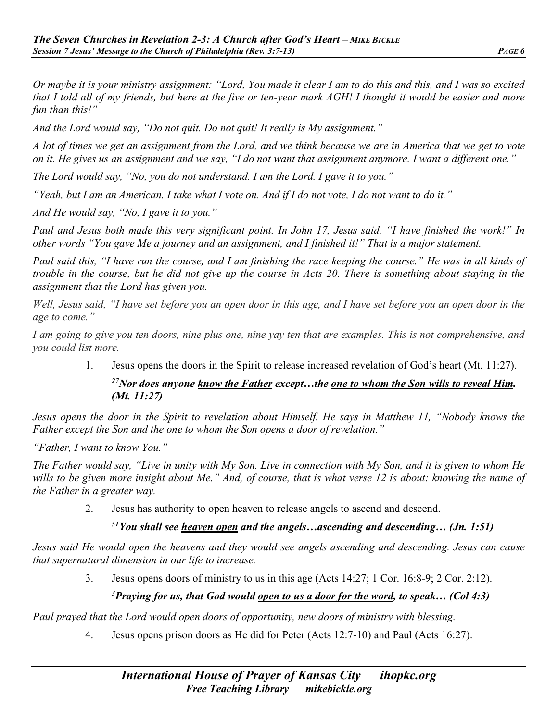*Or maybe it is your ministry assignment: "Lord, You made it clear I am to do this and this, and I was so excited that I told all of my friends, but here at the five or ten-year mark AGH! I thought it would be easier and more fun than this!"* 

*And the Lord would say, "Do not quit. Do not quit! It really is My assignment."*

*A lot of times we get an assignment from the Lord, and we think because we are in America that we get to vote on it. He gives us an assignment and we say, "I do not want that assignment anymore. I want a different one."* 

*The Lord would say, "No, you do not understand. I am the Lord. I gave it to you."* 

*"Yeah, but I am an American. I take what I vote on. And if I do not vote, I do not want to do it."* 

*And He would say, "No, I gave it to you."*

*Paul and Jesus both made this very significant point. In John 17, Jesus said, "I have finished the work!" In other words "You gave Me a journey and an assignment, and I finished it!" That is a major statement.* 

*Paul said this, "I have run the course, and I am finishing the race keeping the course." He was in all kinds of trouble in the course, but he did not give up the course in Acts 20. There is something about staying in the assignment that the Lord has given you.* 

*Well, Jesus said, "I have set before you an open door in this age, and I have set before you an open door in the age to come."* 

*I am going to give you ten doors, nine plus one, nine yay ten that are examples. This is not comprehensive, and you could list more.*

1. Jesus opens the doors in the Spirit to release increased revelation of God's heart (Mt. 11:27).

# *27Nor does anyone know the Father except…the one to whom the Son wills to reveal Him. (Mt. 11:27)*

*Jesus opens the door in the Spirit to revelation about Himself. He says in Matthew 11, "Nobody knows the Father except the Son and the one to whom the Son opens a door of revelation."*

*"Father, I want to know You."* 

*The Father would say, "Live in unity with My Son. Live in connection with My Son, and it is given to whom He wills to be given more insight about Me." And, of course, that is what verse 12 is about: knowing the name of the Father in a greater way.* 

2. Jesus has authority to open heaven to release angels to ascend and descend.

*51You shall see heaven open and the angels…ascending and descending… (Jn. 1:51)* 

*Jesus said He would open the heavens and they would see angels ascending and descending. Jesus can cause that supernatural dimension in our life to increase.* 

3. Jesus opens doors of ministry to us in this age (Acts 14:27; 1 Cor. 16:8-9; 2 Cor. 2:12).

# *3Praying for us, that God would open to us a door for the word, to speak… (Col 4:3)*

*Paul prayed that the Lord would open doors of opportunity, new doors of ministry with blessing.* 

4. Jesus opens prison doors as He did for Peter (Acts 12:7-10) and Paul (Acts 16:27).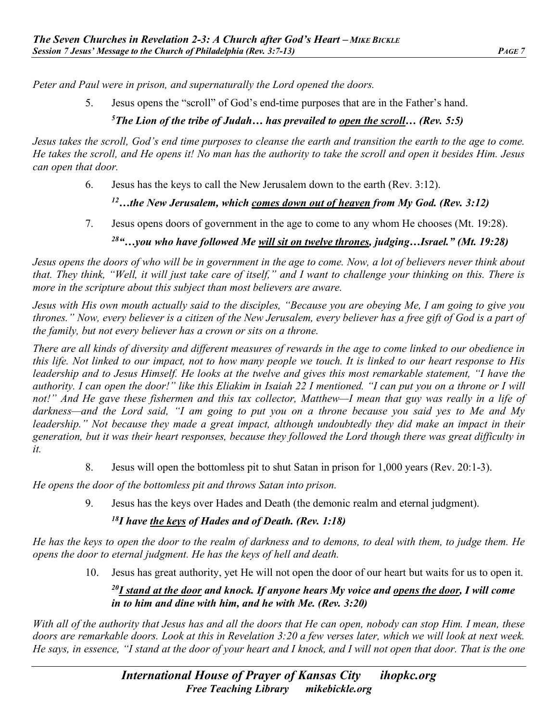*Peter and Paul were in prison, and supernaturally the Lord opened the doors.* 

5. Jesus opens the "scroll" of God's end-time purposes that are in the Father's hand.

# *5The Lion of the tribe of Judah… has prevailed to open the scroll… (Rev. 5:5)*

*Jesus takes the scroll, God's end time purposes to cleanse the earth and transition the earth to the age to come. He takes the scroll, and He opens it! No man has the authority to take the scroll and open it besides Him. Jesus can open that door.* 

6. Jesus has the keys to call the New Jerusalem down to the earth (Rev. 3:12).

# *12…the New Jerusalem, which comes down out of heaven from My God. (Rev. 3:12)*

- 7. Jesus opens doors of government in the age to come to any whom He chooses (Mt. 19:28).
	- *28"…you who have followed Me will sit on twelve thrones, judging…Israel." (Mt. 19:28)*

*Jesus opens the doors of who will be in government in the age to come. Now, a lot of believers never think about that. They think, "Well, it will just take care of itself," and I want to challenge your thinking on this. There is more in the scripture about this subject than most believers are aware.* 

*Jesus with His own mouth actually said to the disciples, "Because you are obeying Me, I am going to give you thrones." Now, every believer is a citizen of the New Jerusalem, every believer has a free gift of God is a part of the family, but not every believer has a crown or sits on a throne.* 

*There are all kinds of diversity and different measures of rewards in the age to come linked to our obedience in this life. Not linked to our impact, not to how many people we touch. It is linked to our heart response to His leadership and to Jesus Himself. He looks at the twelve and gives this most remarkable statement, "I have the authority. I can open the door!" like this Eliakim in Isaiah 22 I mentioned. "I can put you on a throne or I will not!" And He gave these fishermen and this tax collector, Matthew—I mean that guy was really in a life of darkness—and the Lord said, "I am going to put you on a throne because you said yes to Me and My leadership." Not because they made a great impact, although undoubtedly they did make an impact in their generation, but it was their heart responses, because they followed the Lord though there was great difficulty in it.*

8. Jesus will open the bottomless pit to shut Satan in prison for 1,000 years (Rev. 20:1-3).

*He opens the door of the bottomless pit and throws Satan into prison.*

9. Jesus has the keys over Hades and Death (the demonic realm and eternal judgment).

# *18I have the keys of Hades and of Death. (Rev. 1:18)*

*He has the keys to open the door to the realm of darkness and to demons, to deal with them, to judge them. He opens the door to eternal judgment. He has the keys of hell and death.* 

10. Jesus has great authority, yet He will not open the door of our heart but waits for us to open it.

# *20I stand at the door and knock. If anyone hears My voice and opens the door, I will come in to him and dine with him, and he with Me. (Rev. 3:20)*

*With all of the authority that Jesus has and all the doors that He can open, nobody can stop Him. I mean, these doors are remarkable doors. Look at this in Revelation 3:20 a few verses later, which we will look at next week. He says, in essence, "I stand at the door of your heart and I knock, and I will not open that door. That is the one*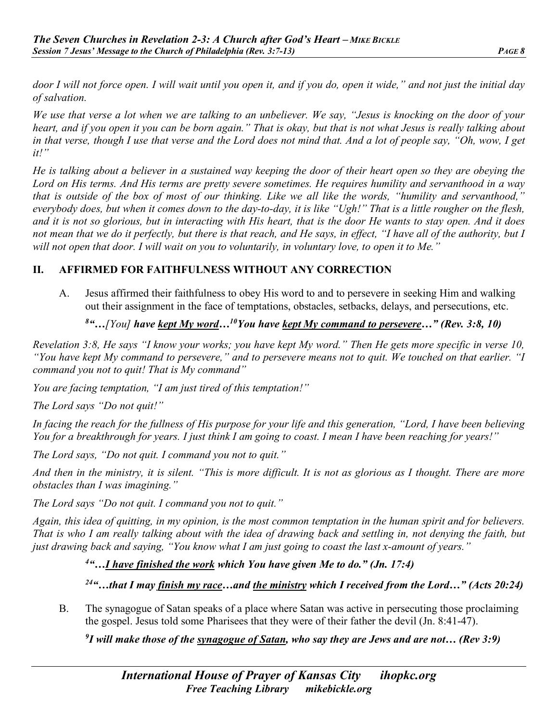*door I will not force open. I will wait until you open it, and if you do, open it wide," and not just the initial day of salvation.* 

*We use that verse a lot when we are talking to an unbeliever. We say, "Jesus is knocking on the door of your heart, and if you open it you can be born again." That is okay, but that is not what Jesus is really talking about in that verse, though I use that verse and the Lord does not mind that. And a lot of people say, "Oh, wow, I get it!"* 

*He is talking about a believer in a sustained way keeping the door of their heart open so they are obeying the Lord on His terms. And His terms are pretty severe sometimes. He requires humility and servanthood in a way that is outside of the box of most of our thinking. Like we all like the words, "humility and servanthood," everybody does, but when it comes down to the day-to-day, it is like "Ugh!" That is a little rougher on the flesh, and it is not so glorious, but in interacting with His heart, that is the door He wants to stay open. And it does not mean that we do it perfectly, but there is that reach, and He says, in effect, "I have all of the authority, but I will not open that door. I will wait on you to voluntarily, in voluntary love, to open it to Me."* 

## **II. AFFIRMED FOR FAITHFULNESS WITHOUT ANY CORRECTION**

A. Jesus affirmed their faithfulness to obey His word to and to persevere in seeking Him and walking out their assignment in the face of temptations, obstacles, setbacks, delays, and persecutions, etc.

## *8 "…[You] have kept My word…10You have kept My command to persevere…" (Rev. 3:8, 10)*

*Revelation 3:8, He says "I know your works; you have kept My word." Then He gets more specific in verse 10, "You have kept My command to persevere," and to persevere means not to quit. We touched on that earlier. "I command you not to quit! That is My command"*

*You are facing temptation, "I am just tired of this temptation!"* 

*The Lord says "Do not quit!"* 

*In facing the reach for the fullness of His purpose for your life and this generation, "Lord, I have been believing You for a breakthrough for years. I just think I am going to coast. I mean I have been reaching for years!"* 

*The Lord says, "Do not quit. I command you not to quit."*

*And then in the ministry, it is silent. "This is more difficult. It is not as glorious as I thought. There are more obstacles than I was imagining."*

*The Lord says "Do not quit. I command you not to quit."*

*Again, this idea of quitting, in my opinion, is the most common temptation in the human spirit and for believers. That is who I am really talking about with the idea of drawing back and settling in, not denying the faith, but just drawing back and saying, "You know what I am just going to coast the last x-amount of years."*

*4 "…I have finished the work which You have given Me to do." (Jn. 17:4)* 

*24"…that I may finish my race…and the ministry which I received from the Lord…" (Acts 20:24)* 

B. The synagogue of Satan speaks of a place where Satan was active in persecuting those proclaiming the gospel. Jesus told some Pharisees that they were of their father the devil (Jn. 8:41-47).

*9 I will make those of the synagogue of Satan, who say they are Jews and are not… (Rev 3:9)*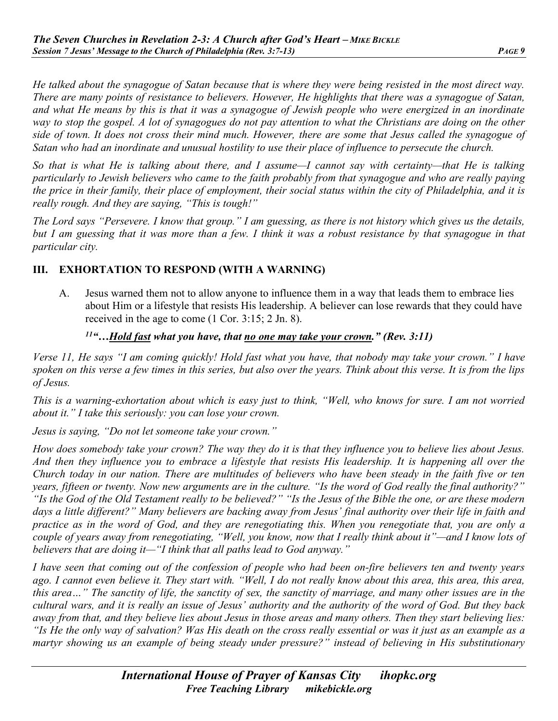*He talked about the synagogue of Satan because that is where they were being resisted in the most direct way. There are many points of resistance to believers. However, He highlights that there was a synagogue of Satan, and what He means by this is that it was a synagogue of Jewish people who were energized in an inordinate way to stop the gospel. A lot of synagogues do not pay attention to what the Christians are doing on the other side of town. It does not cross their mind much. However, there are some that Jesus called the synagogue of Satan who had an inordinate and unusual hostility to use their place of influence to persecute the church.*

*So that is what He is talking about there, and I assume—I cannot say with certainty—that He is talking particularly to Jewish believers who came to the faith probably from that synagogue and who are really paying the price in their family, their place of employment, their social status within the city of Philadelphia, and it is really rough. And they are saying, "This is tough!"* 

*The Lord says "Persevere. I know that group." I am guessing, as there is not history which gives us the details, but I am guessing that it was more than a few. I think it was a robust resistance by that synagogue in that particular city.* 

## **III. EXHORTATION TO RESPOND (WITH A WARNING)**

A. Jesus warned them not to allow anyone to influence them in a way that leads them to embrace lies about Him or a lifestyle that resists His leadership. A believer can lose rewards that they could have received in the age to come (1 Cor. 3:15; 2 Jn. 8).

#### *11"…Hold fast what you have, that no one may take your crown." (Rev. 3:11)*

*Verse 11, He says "I am coming quickly! Hold fast what you have, that nobody may take your crown." I have spoken on this verse a few times in this series, but also over the years. Think about this verse. It is from the lips of Jesus.* 

*This is a warning-exhortation about which is easy just to think, "Well, who knows for sure. I am not worried about it." I take this seriously: you can lose your crown.* 

*Jesus is saying, "Do not let someone take your crown."* 

*How does somebody take your crown? The way they do it is that they influence you to believe lies about Jesus. And then they influence you to embrace a lifestyle that resists His leadership. It is happening all over the Church today in our nation. There are multitudes of believers who have been steady in the faith five or ten years, fifteen or twenty. Now new arguments are in the culture. "Is the word of God really the final authority?" "Is the God of the Old Testament really to be believed?" "Is the Jesus of the Bible the one, or are these modern days a little different?" Many believers are backing away from Jesus' final authority over their life in faith and practice as in the word of God, and they are renegotiating this. When you renegotiate that, you are only a couple of years away from renegotiating, "Well, you know, now that I really think about it"—and I know lots of believers that are doing it—"I think that all paths lead to God anyway."* 

*I have seen that coming out of the confession of people who had been on-fire believers ten and twenty years ago. I cannot even believe it. They start with. "Well, I do not really know about this area, this area, this area, this area…" The sanctity of life, the sanctity of sex, the sanctity of marriage, and many other issues are in the cultural wars, and it is really an issue of Jesus' authority and the authority of the word of God. But they back away from that, and they believe lies about Jesus in those areas and many others. Then they start believing lies: "Is He the only way of salvation? Was His death on the cross really essential or was it just as an example as a martyr showing us an example of being steady under pressure?" instead of believing in His substitutionary*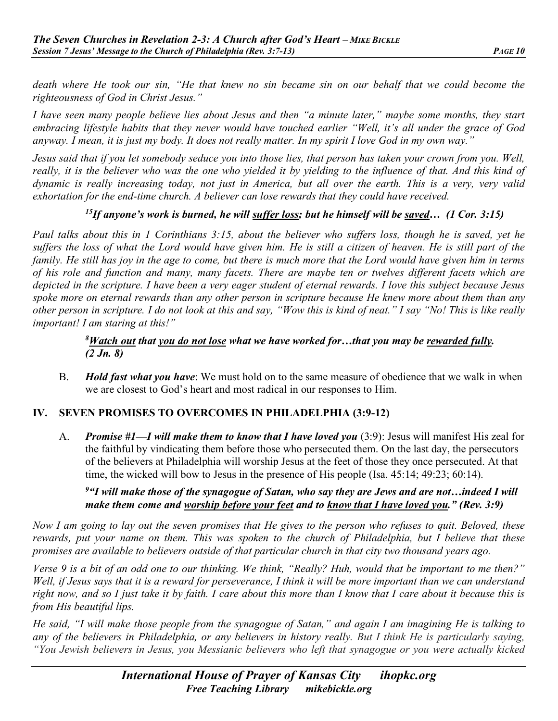*death where He took our sin, "He that knew no sin became sin on our behalf that we could become the righteousness of God in Christ Jesus."* 

*I have seen many people believe lies about Jesus and then "a minute later," maybe some months, they start embracing lifestyle habits that they never would have touched earlier "Well, it's all under the grace of God anyway. I mean, it is just my body. It does not really matter. In my spirit I love God in my own way."*

*Jesus said that if you let somebody seduce you into those lies, that person has taken your crown from you. Well, really, it is the believer who was the one who yielded it by yielding to the influence of that. And this kind of dynamic is really increasing today, not just in America, but all over the earth. This is a very, very valid exhortation for the end-time church. A believer can lose rewards that they could have received.* 

## *15If anyone's work is burned, he will suffer loss; but he himself will be saved… (1 Cor. 3:15)*

*Paul talks about this in 1 Corinthians 3:15, about the believer who suffers loss, though he is saved, yet he suffers the loss of what the Lord would have given him. He is still a citizen of heaven. He is still part of the family. He still has joy in the age to come, but there is much more that the Lord would have given him in terms of his role and function and many, many facets. There are maybe ten or twelves different facets which are depicted in the scripture. I have been a very eager student of eternal rewards. I love this subject because Jesus spoke more on eternal rewards than any other person in scripture because He knew more about them than any other person in scripture. I do not look at this and say, "Wow this is kind of neat." I say "No! This is like really important! I am staring at this!"* 

#### *8Watch out that you do not lose what we have worked for…that you may be rewarded fully. (2 Jn. 8)*

B. *Hold fast what you have*: We must hold on to the same measure of obedience that we walk in when we are closest to God's heart and most radical in our responses to Him.

#### **IV. SEVEN PROMISES TO OVERCOMES IN PHILADELPHIA (3:9-12)**

A. *Promise #1—I will make them to know that I have loved you* (3:9): Jesus will manifest His zeal for the faithful by vindicating them before those who persecuted them. On the last day, the persecutors of the believers at Philadelphia will worship Jesus at the feet of those they once persecuted. At that time, the wicked will bow to Jesus in the presence of His people (Isa. 45:14; 49:23; 60:14).

## *9 "I will make those of the synagogue of Satan, who say they are Jews and are not…indeed I will make them come and worship before your feet and to know that I have loved you." (Rev. 3:9)*

*Now I am going to lay out the seven promises that He gives to the person who refuses to quit. Beloved, these rewards, put your name on them. This was spoken to the church of Philadelphia, but I believe that these promises are available to believers outside of that particular church in that city two thousand years ago.* 

*Verse 9 is a bit of an odd one to our thinking. We think, "Really? Huh, would that be important to me then?" Well, if Jesus says that it is a reward for perseverance, I think it will be more important than we can understand right now, and so I just take it by faith. I care about this more than I know that I care about it because this is from His beautiful lips.* 

*He said, "I will make those people from the synagogue of Satan," and again I am imagining He is talking to any of the believers in Philadelphia, or any believers in history really. But I think He is particularly saying, "You Jewish believers in Jesus, you Messianic believers who left that synagogue or you were actually kicked*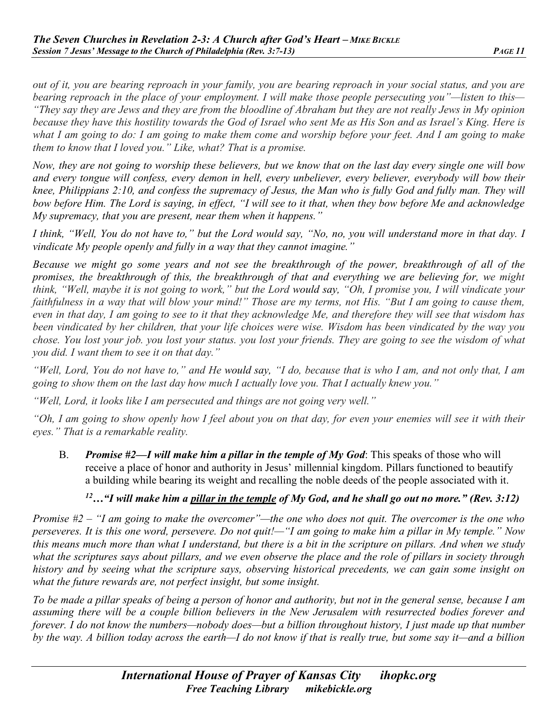*out of it, you are bearing reproach in your family, you are bearing reproach in your social status, and you are bearing reproach in the place of your employment. I will make those people persecuting you"—listen to this— "They say they are Jews and they are from the bloodline of Abraham but they are not really Jews in My opinion because they have this hostility towards the God of Israel who sent Me as His Son and as Israel's King. Here is what I am going to do: I am going to make them come and worship before your feet. And I am going to make them to know that I loved you." Like, what? That is a promise.* 

*Now, they are not going to worship these believers, but we know that on the last day every single one will bow and every tongue will confess, every demon in hell, every unbeliever, every believer, everybody will bow their knee, Philippians 2:10, and confess the supremacy of Jesus, the Man who is fully God and fully man. They will bow before Him. The Lord is saying, in effect, "I will see to it that, when they bow before Me and acknowledge My supremacy, that you are present, near them when it happens."* 

*I think, "Well, You do not have to," but the Lord would say, "No, no, you will understand more in that day. I vindicate My people openly and fully in a way that they cannot imagine."* 

*Because we might go some years and not see the breakthrough of the power, breakthrough of all of the promises, the breakthrough of this, the breakthrough of that and everything we are believing for, we might think, "Well, maybe it is not going to work," but the Lord would say, "Oh, I promise you, I will vindicate your faithfulness in a way that will blow your mind!" Those are my terms, not His. "But I am going to cause them, even in that day, I am going to see to it that they acknowledge Me, and therefore they will see that wisdom has been vindicated by her children, that your life choices were wise. Wisdom has been vindicated by the way you chose. You lost your job. you lost your status. you lost your friends. They are going to see the wisdom of what you did. I want them to see it on that day."* 

*"Well, Lord, You do not have to," and He would say, "I do, because that is who I am, and not only that, I am going to show them on the last day how much I actually love you. That I actually knew you."*

*"Well, Lord, it looks like I am persecuted and things are not going very well."*

*"Oh, I am going to show openly how I feel about you on that day, for even your enemies will see it with their eyes." That is a remarkable reality.*

B. *Promise #2—I will make him a pillar in the temple of My God*: This speaks of those who will receive a place of honor and authority in Jesus' millennial kingdom. Pillars functioned to beautify a building while bearing its weight and recalling the noble deeds of the people associated with it.

# *12…"I will make him a pillar in the temple of My God, and he shall go out no more." (Rev. 3:12)*

*Promise #2 – "I am going to make the overcomer"—the one who does not quit. The overcomer is the one who perseveres. It is this one word, persevere. Do not quit!—"I am going to make him a pillar in My temple." Now this means much more than what I understand, but there is a bit in the scripture on pillars. And when we study what the scriptures says about pillars, and we even observe the place and the role of pillars in society through history and by seeing what the scripture says, observing historical precedents, we can gain some insight on what the future rewards are, not perfect insight, but some insight.*

*To be made a pillar speaks of being a person of honor and authority, but not in the general sense, because I am assuming there will be a couple billion believers in the New Jerusalem with resurrected bodies forever and forever. I do not know the numbers—nobody does—but a billion throughout history, I just made up that number by the way. A billion today across the earth—I do not know if that is really true, but some say it—and a billion*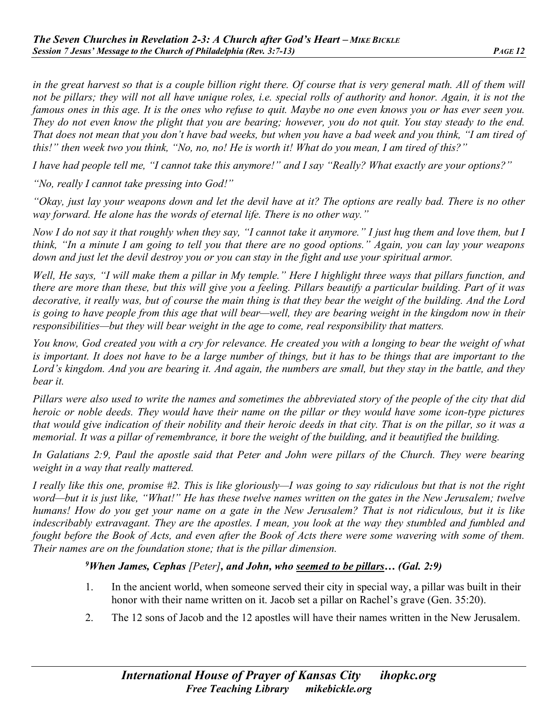*in the great harvest so that is a couple billion right there. Of course that is very general math. All of them will not be pillars; they will not all have unique roles, i.e. special rolls of authority and honor. Again, it is not the famous ones in this age. It is the ones who refuse to quit. Maybe no one even knows you or has ever seen you. They do not even know the plight that you are bearing; however, you do not quit. You stay steady to the end. That does not mean that you don't have bad weeks, but when you have a bad week and you think, "I am tired of this!" then week two you think, "No, no, no! He is worth it! What do you mean, I am tired of this?"* 

*I have had people tell me, "I cannot take this anymore!" and I say "Really? What exactly are your options?"* 

*"No, really I cannot take pressing into God!"*

*"Okay, just lay your weapons down and let the devil have at it? The options are really bad. There is no other way forward. He alone has the words of eternal life. There is no other way."* 

*Now I do not say it that roughly when they say, "I cannot take it anymore." I just hug them and love them, but I think, "In a minute I am going to tell you that there are no good options." Again, you can lay your weapons down and just let the devil destroy you or you can stay in the fight and use your spiritual armor.* 

*Well, He says, "I will make them a pillar in My temple." Here I highlight three ways that pillars function, and there are more than these, but this will give you a feeling. Pillars beautify a particular building. Part of it was decorative, it really was, but of course the main thing is that they bear the weight of the building. And the Lord is going to have people from this age that will bear—well, they are bearing weight in the kingdom now in their responsibilities—but they will bear weight in the age to come, real responsibility that matters.* 

*You know, God created you with a cry for relevance. He created you with a longing to bear the weight of what is important. It does not have to be a large number of things, but it has to be things that are important to the Lord's kingdom. And you are bearing it. And again, the numbers are small, but they stay in the battle, and they bear it.* 

*Pillars were also used to write the names and sometimes the abbreviated story of the people of the city that did heroic or noble deeds. They would have their name on the pillar or they would have some icon-type pictures that would give indication of their nobility and their heroic deeds in that city. That is on the pillar, so it was a memorial. It was a pillar of remembrance, it bore the weight of the building, and it beautified the building.* 

*In Galatians 2:9, Paul the apostle said that Peter and John were pillars of the Church. They were bearing weight in a way that really mattered.*

*I really like this one, promise #2. This is like gloriously—I was going to say ridiculous but that is not the right word—but it is just like, "What!" He has these twelve names written on the gates in the New Jerusalem; twelve humans! How do you get your name on a gate in the New Jerusalem? That is not ridiculous, but it is like indescribably extravagant. They are the apostles. I mean, you look at the way they stumbled and fumbled and fought before the Book of Acts, and even after the Book of Acts there were some wavering with some of them. Their names are on the foundation stone; that is the pillar dimension.* 

*9When James, Cephas [Peter], and John, who seemed to be pillars… (Gal. 2:9)* 

- 1. In the ancient world, when someone served their city in special way, a pillar was built in their honor with their name written on it. Jacob set a pillar on Rachel's grave (Gen. 35:20).
- 2. The 12 sons of Jacob and the 12 apostles will have their names written in the New Jerusalem.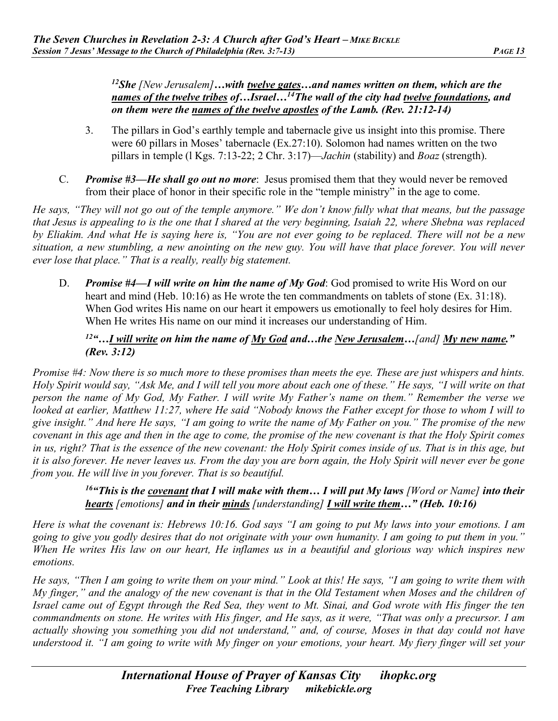*12She [New Jerusalem]…with twelve gates…and names written on them, which are the names of the twelve tribes of…Israel…14The wall of the city had twelve foundations, and on them were the names of the twelve apostles of the Lamb. (Rev. 21:12-14)* 

- 3. The pillars in God's earthly temple and tabernacle give us insight into this promise. There were 60 pillars in Moses' tabernacle (Ex.27:10). Solomon had names written on the two pillars in temple (l Kgs. 7:13-22; 2 Chr. 3:17)—*Jachin* (stability) and *Boaz* (strength).
- C. *Promise #3—He shall go out no more*: Jesus promised them that they would never be removed from their place of honor in their specific role in the "temple ministry" in the age to come.

*He says, "They will not go out of the temple anymore." We don't know fully what that means, but the passage that Jesus is appealing to is the one that I shared at the very beginning, Isaiah 22, where Shebna was replaced by Eliakim. And what He is saying here is, "You are not ever going to be replaced. There will not be a new situation, a new stumbling, a new anointing on the new guy. You will have that place forever. You will never ever lose that place." That is a really, really big statement.* 

D. *Promise #4—I will write on him the name of My God*: God promised to write His Word on our heart and mind (Heb. 10:16) as He wrote the ten commandments on tablets of stone (Ex. 31:18). When God writes His name on our heart it empowers us emotionally to feel holy desires for Him. When He writes His name on our mind it increases our understanding of Him.

# *12"…I will write on him the name of My God and…the New Jerusalem…[and] My new name." (Rev. 3:12)*

*Promise #4: Now there is so much more to these promises than meets the eye. These are just whispers and hints. Holy Spirit would say, "Ask Me, and I will tell you more about each one of these." He says, "I will write on that person the name of My God, My Father. I will write My Father's name on them." Remember the verse we looked at earlier, Matthew 11:27, where He said "Nobody knows the Father except for those to whom I will to give insight." And here He says, "I am going to write the name of My Father on you." The promise of the new covenant in this age and then in the age to come, the promise of the new covenant is that the Holy Spirit comes in us, right? That is the essence of the new covenant: the Holy Spirit comes inside of us. That is in this age, but it is also forever. He never leaves us. From the day you are born again, the Holy Spirit will never ever be gone from you. He will live in you forever. That is so beautiful.* 

# *16"This is the covenant that I will make with them… I will put My laws [Word or Name] into their hearts [emotions] and in their minds [understanding] I will write them…" (Heb. 10:16)*

*Here is what the covenant is: Hebrews 10:16. God says "I am going to put My laws into your emotions. I am going to give you godly desires that do not originate with your own humanity. I am going to put them in you." When He writes His law on our heart, He inflames us in a beautiful and glorious way which inspires new emotions.* 

*He says, "Then I am going to write them on your mind." Look at this! He says, "I am going to write them with My finger," and the analogy of the new covenant is that in the Old Testament when Moses and the children of Israel came out of Egypt through the Red Sea, they went to Mt. Sinai, and God wrote with His finger the ten commandments on stone. He writes with His finger, and He says, as it were, "That was only a precursor. I am actually showing you something you did not understand," and, of course, Moses in that day could not have understood it. "I am going to write with My finger on your emotions, your heart. My fiery finger will set your*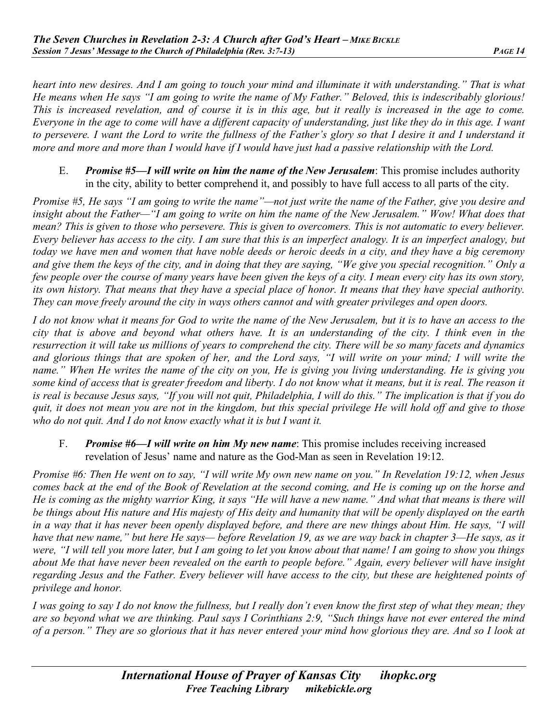*heart into new desires. And I am going to touch your mind and illuminate it with understanding.*" That is what *He means when He says "I am going to write the name of My Father." Beloved, this is indescribably glorious! This is increased revelation, and of course it is in this age, but it really is increased in the age to come. Everyone in the age to come will have a different capacity of understanding, just like they do in this age. I want to persevere. I want the Lord to write the fullness of the Father's glory so that I desire it and I understand it more and more and more than I would have if I would have just had a passive relationship with the Lord.* 

E. *Promise #5—I will write on him the name of the New Jerusalem*: This promise includes authority in the city, ability to better comprehend it, and possibly to have full access to all parts of the city.

*Promise #5, He says "I am going to write the name"—not just write the name of the Father, give you desire and insight about the Father—"I am going to write on him the name of the New Jerusalem." Wow! What does that mean? This is given to those who persevere. This is given to overcomers. This is not automatic to every believer. Every believer has access to the city. I am sure that this is an imperfect analogy. It is an imperfect analogy, but today we have men and women that have noble deeds or heroic deeds in a city, and they have a big ceremony and give them the keys of the city, and in doing that they are saying, "We give you special recognition." Only a few people over the course of many years have been given the keys of a city. I mean every city has its own story, its own history. That means that they have a special place of honor. It means that they have special authority. They can move freely around the city in ways others cannot and with greater privileges and open doors.* 

*I do not know what it means for God to write the name of the New Jerusalem, but it is to have an access to the city that is above and beyond what others have. It is an understanding of the city. I think even in the resurrection it will take us millions of years to comprehend the city. There will be so many facets and dynamics and glorious things that are spoken of her, and the Lord says, "I will write on your mind; I will write the name." When He writes the name of the city on you, He is giving you living understanding. He is giving you some kind of access that is greater freedom and liberty. I do not know what it means, but it is real. The reason it is real is because Jesus says, "If you will not quit, Philadelphia, I will do this." The implication is that if you do quit, it does not mean you are not in the kingdom, but this special privilege He will hold off and give to those who do not quit. And I do not know exactly what it is but I want it.* 

#### F. *Promise #6—I will write on him My new name*: This promise includes receiving increased revelation of Jesus' name and nature as the God-Man as seen in Revelation 19:12.

*Promise #6: Then He went on to say, "I will write My own new name on you." In Revelation 19:12, when Jesus comes back at the end of the Book of Revelation at the second coming, and He is coming up on the horse and He is coming as the mighty warrior King, it says "He will have a new name." And what that means is there will be things about His nature and His majesty of His deity and humanity that will be openly displayed on the earth in a way that it has never been openly displayed before, and there are new things about Him. He says, "I will have that new name," but here He says— before Revelation 19, as we are way back in chapter 3—He says, as it were, "I will tell you more later, but I am going to let you know about that name! I am going to show you things about Me that have never been revealed on the earth to people before." Again, every believer will have insight regarding Jesus and the Father. Every believer will have access to the city, but these are heightened points of privilege and honor.*

*I was going to say I do not know the fullness, but I really don't even know the first step of what they mean; they are so beyond what we are thinking. Paul says I Corinthians 2:9, "Such things have not ever entered the mind of a person." They are so glorious that it has never entered your mind how glorious they are. And so I look at*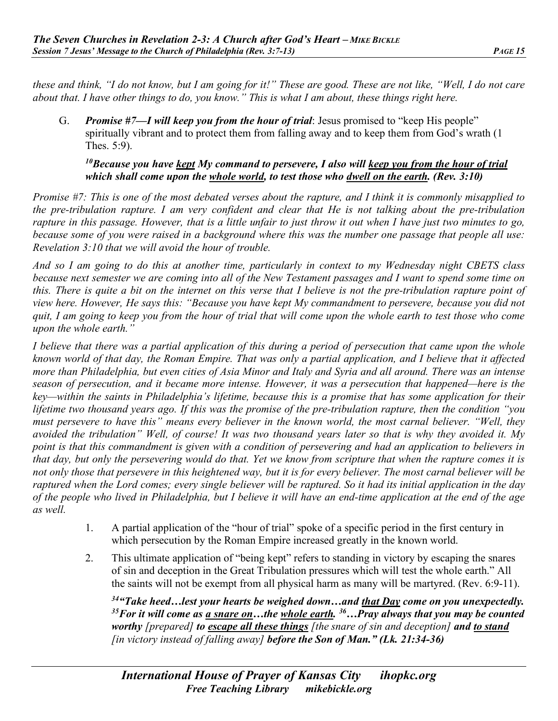*these and think, "I do not know, but I am going for it!" These are good. These are not like, "Well, I do not care about that. I have other things to do, you know." This is what I am about, these things right here.* 

G. *Promise #7—I will keep you from the hour of trial*: Jesus promised to "keep His people" spiritually vibrant and to protect them from falling away and to keep them from God's wrath (1 Thes. 5:9).

## *10Because you have kept My command to persevere, I also will keep you from the hour of trial which shall come upon the whole world, to test those who dwell on the earth. (Rev. 3:10)*

*Promise #7: This is one of the most debated verses about the rapture, and I think it is commonly misapplied to the pre-tribulation rapture. I am very confident and clear that He is not talking about the pre-tribulation rapture in this passage. However, that is a little unfair to just throw it out when I have just two minutes to go, because some of you were raised in a background where this was the number one passage that people all use: Revelation 3:10 that we will avoid the hour of trouble.* 

*And so I am going to do this at another time, particularly in context to my Wednesday night CBETS class because next semester we are coming into all of the New Testament passages and I want to spend some time on this. There is quite a bit on the internet on this verse that I believe is not the pre-tribulation rapture point of view here. However, He says this: "Because you have kept My commandment to persevere, because you did not quit, I am going to keep you from the hour of trial that will come upon the whole earth to test those who come upon the whole earth."* 

*I believe that there was a partial application of this during a period of persecution that came upon the whole known world of that day, the Roman Empire. That was only a partial application, and I believe that it affected more than Philadelphia, but even cities of Asia Minor and Italy and Syria and all around. There was an intense season of persecution, and it became more intense. However, it was a persecution that happened—here is the key—within the saints in Philadelphia's lifetime, because this is a promise that has some application for their lifetime two thousand years ago. If this was the promise of the pre-tribulation rapture, then the condition "you must persevere to have this" means every believer in the known world, the most carnal believer. "Well, they avoided the tribulation" Well, of course! It was two thousand years later so that is why they avoided it. My point is that this commandment is given with a condition of persevering and had an application to believers in that day, but only the persevering would do that. Yet we know from scripture that when the rapture comes it is not only those that persevere in this heightened way, but it is for every believer. The most carnal believer will be raptured when the Lord comes; every single believer will be raptured. So it had its initial application in the day of the people who lived in Philadelphia, but I believe it will have an end-time application at the end of the age as well.* 

- 1. A partial application of the "hour of trial" spoke of a specific period in the first century in which persecution by the Roman Empire increased greatly in the known world.
- 2. This ultimate application of "being kept" refers to standing in victory by escaping the snares of sin and deception in the Great Tribulation pressures which will test the whole earth." All the saints will not be exempt from all physical harm as many will be martyred. (Rev. 6:9-11).

*34"Take heed…lest your hearts be weighed down…and that Day come on you unexpectedly. 35For it will come as a snare on…the whole earth. 36…Pray always that you may be counted worthy [prepared] to escape all these things [the snare of sin and deception] and to stand [in victory instead of falling away] before the Son of Man." (Lk. 21:34-36)*